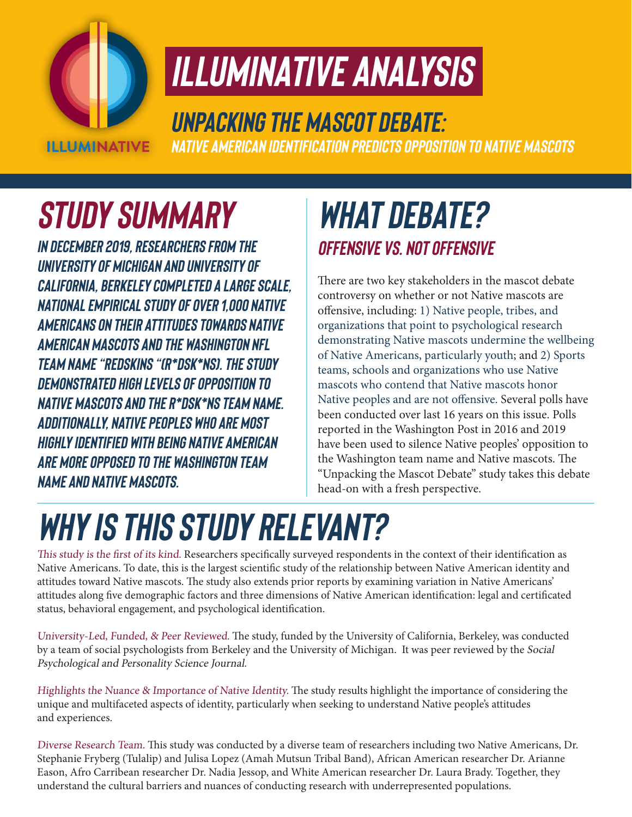

## *ILLUMINATIVE ANALYSIS*

### *Unpacking the Mascot Debate:*

*Native American Identification Predicts Opposition to Native Mascots*

## *Study SUMMARY*

*In December 2019, researchers from the University of Michigan and University of California, Berkeley completed a large scale, national empirical study of over 1,000 Native Americans on their Attitudes towards Native American mascots and the Washington NFL team name "Redskins "(R\*dsk\*ns). The study demonstrated high levels of opposition to Native mascots and the R\*dsk\*ns team name. Additionally, Native peoples who are most highly identified with being Native American are more opposed to the Washington team name and Native mascots.*

#### *What debate? Offensive vs. Not Offensive*

There are two key stakeholders in the mascot debate controversy on whether or not Native mascots are offensive, including: 1) Native people, tribes, and organizations that point to psychological research demonstrating Native mascots undermine the wellbeing of Native Americans, particularly youth; and 2) Sports teams, schools and organizations who use Native mascots who contend that Native mascots honor Native peoples and are not offensive. Several polls have been conducted over last 16 years on this issue. Polls reported in the Washington Post in 2016 and 2019 have been used to silence Native peoples' opposition to the Washington team name and Native mascots. The "Unpacking the Mascot Debate" study takes this debate head-on with a fresh perspective.

# *Why is this study relevant?*

This study is the first of its kind. Researchers specifically surveyed respondents in the context of their identification as Native Americans. To date, this is the largest scientific study of the relationship between Native American identity and attitudes toward Native mascots. The study also extends prior reports by examining variation in Native Americans' attitudes along five demographic factors and three dimensions of Native American identification: legal and certificated status, behavioral engagement, and psychological identification.

University-Led, Funded, & Peer Reviewed. The study, funded by the University of California, Berkeley, was conducted by a team of social psychologists from Berkeley and the University of Michigan. It was peer reviewed by the Social Psychological and Personality Science Journal.

Highlights the Nuance & Importance of Native Identity. The study results highlight the importance of considering the unique and multifaceted aspects of identity, particularly when seeking to understand Native people's attitudes and experiences.

Diverse Research Team. This study was conducted by a diverse team of researchers including two Native Americans, Dr. Stephanie Fryberg (Tulalip) and Julisa Lopez (Amah Mutsun Tribal Band), African American researcher Dr. Arianne Eason, Afro Carribean researcher Dr. Nadia Jessop, and White American researcher Dr. Laura Brady. Together, they understand the cultural barriers and nuances of conducting research with underrepresented populations.